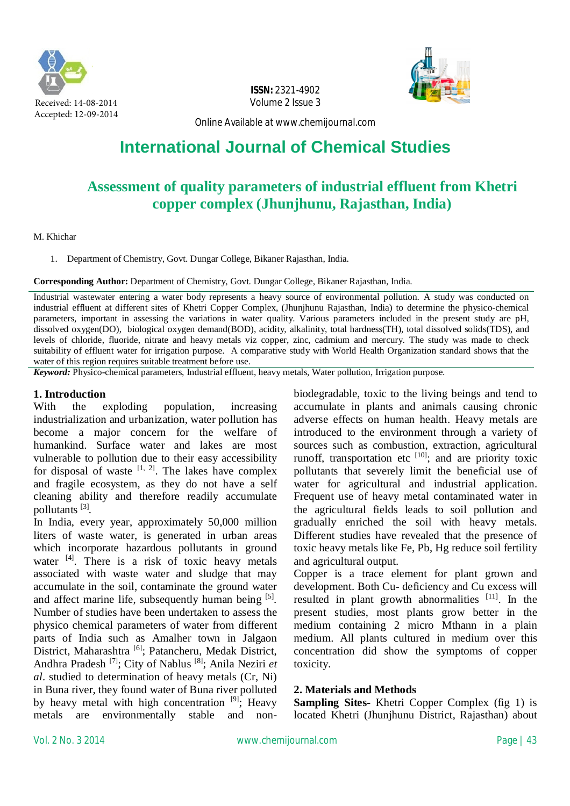

**ISSN:** 2321-4902 Volume 2 Issue 3



Online Available at [www.chemijournal.com](http://www.chemijournal.com)

# **International Journal of Chemical Studies**

## **Assessment of quality parameters of industrial effluent from Khetri copper complex (Jhunjhunu, Rajasthan, India)**

#### M. Khichar

1. Department of Chemistry, Govt. Dungar College, Bikaner Rajasthan, India.

**Corresponding Author:** Department of Chemistry, Govt. Dungar College, Bikaner Rajasthan, India.

Industrial wastewater entering a water body represents a heavy source of environmental pollution. A study was conducted on industrial effluent at different sites of Khetri Copper Complex, (Jhunjhunu Rajasthan, India) to determine the physico-chemical parameters, important in assessing the variations in water quality. Various parameters included in the present study are pH, dissolved oxygen(DO), biological oxygen demand(BOD), acidity, alkalinity, total hardness(TH), total dissolved solids(TDS), and levels of chloride, fluoride, nitrate and heavy metals viz copper, zinc, cadmium and mercury. The study was made to check suitability of effluent water for irrigation purpose. A comparative study with World Health Organization standard shows that the water of this region requires suitable treatment before use.

*Keyword:* Physico-chemical parameters, Industrial effluent, heavy metals, Water pollution, Irrigation purpose.

## **1. Introduction**

With the exploding population, increasing industrialization and urbanization, water pollution has become a major concern for the welfare of humankind. Surface water and lakes are most vulnerable to pollution due to their easy accessibility for disposal of waste  $[1, 2]$ . The lakes have complex and fragile ecosystem, as they do not have a self cleaning ability and therefore readily accumulate pollutants [3] *.*

In India, every year, approximately 50,000 million liters of waste water, is generated in urban areas which incorporate hazardous pollutants in ground water  $[4]$ . There is a risk of toxic heavy metals associated with waste water and sludge that may accumulate in the soil, contaminate the ground water and affect marine life, subsequently human being <sup>[5]</sup>. Number of studies have been undertaken to assess the physico chemical parameters of water from different parts of India such as Amalher town in Jalgaon District, Maharashtra [6]; Patancheru, Medak District, Andhra Pradesh [7]; City of Nablus [8]; Anila Neziri *et al*. studied to determination of heavy metals (Cr, Ni) in Buna river, they found water of Buna river polluted by heavy metal with high concentration  $[9]$ ; Heavy metals are environmentally stable and non-

biodegradable, toxic to the living beings and tend to accumulate in plants and animals causing chronic adverse effects on human health. Heavy metals are introduced to the environment through a variety of sources such as combustion, extraction, agricultural runoff, transportation etc  $[10]$ ; and are priority toxic pollutants that severely limit the beneficial use of water for agricultural and industrial application. Frequent use of heavy metal contaminated water in the agricultural fields leads to soil pollution and gradually enriched the soil with heavy metals. Different studies have revealed that the presence of toxic heavy metals like Fe, Pb, Hg reduce soil fertility and agricultural output.

Copper is a trace element for plant grown and development. Both Cu- deficiency and Cu excess will resulted in plant growth abnormalities  $[11]$ . In the present studies, most plants grow better in the medium containing 2 micro Mthann in a plain medium. All plants cultured in medium over this concentration did show the symptoms of copper toxicity.

## **2. Materials and Methods**

**Sampling Sites-** Khetri Copper Complex (fig 1) is located Khetri (Jhunjhunu District, Rajasthan) about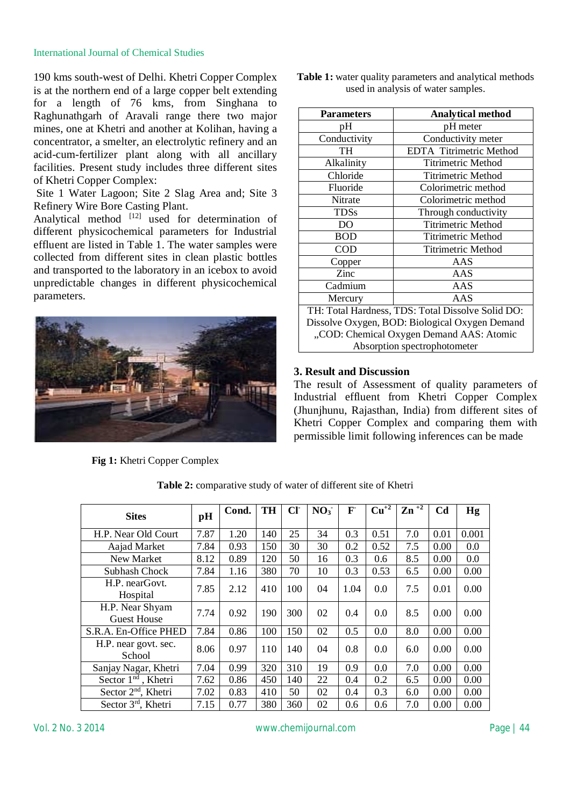#### International Journal of Chemical Studies

190 kms south-west of Delhi. Khetri Copper Complex is at the northern end of a large copper belt extending for a length of 76 kms, from Singhana to Raghunathgarh of Aravali range there two major mines, one at Khetri and another at Kolihan, having a concentrator, a smelter, an electrolytic refinery and an acid-cum-fertilizer plant along with all ancillary facilities. Present study includes three different sites of Khetri Copper Complex:

Site 1 Water Lagoon; Site 2 Slag Area and; Site 3 Refinery Wire Bore Casting Plant.

Analytical method [12] used for determination of different physicochemical parameters for Industrial effluent are listed in Table 1. The water samples were collected from different sites in clean plastic bottles and transported to the laboratory in an icebox to avoid unpredictable changes in different physicochemical parameters.



**Fig 1:** Khetri Copper Complex

| <b>Table 1:</b> water quality parameters and analytical methods |  |
|-----------------------------------------------------------------|--|
| used in analysis of water samples.                              |  |

| <b>Parameters</b>                                 | <b>Analytical method</b>  |  |  |  |  |  |  |
|---------------------------------------------------|---------------------------|--|--|--|--|--|--|
| pН                                                | pH meter                  |  |  |  |  |  |  |
| Conductivity                                      | Conductivity meter        |  |  |  |  |  |  |
| TH                                                | EDTA Titrimetric Method   |  |  |  |  |  |  |
| Alkalinity                                        | <b>Titrimetric Method</b> |  |  |  |  |  |  |
| Chloride                                          | <b>Titrimetric Method</b> |  |  |  |  |  |  |
| Fluoride                                          | Colorimetric method       |  |  |  |  |  |  |
| Nitrate                                           | Colorimetric method       |  |  |  |  |  |  |
| <b>TDSs</b>                                       | Through conductivity      |  |  |  |  |  |  |
| DO                                                | <b>Titrimetric Method</b> |  |  |  |  |  |  |
| <b>BOD</b>                                        | <b>Titrimetric Method</b> |  |  |  |  |  |  |
| COD                                               | <b>Titrimetric Method</b> |  |  |  |  |  |  |
| Copper                                            | AAS                       |  |  |  |  |  |  |
| Zinc                                              | AAS                       |  |  |  |  |  |  |
| Cadmium                                           | AAS                       |  |  |  |  |  |  |
| Mercury                                           | AAS                       |  |  |  |  |  |  |
| TH: Total Hardness, TDS: Total Dissolve Solid DO: |                           |  |  |  |  |  |  |
| Dissolve Oxygen, BOD: Biological Oxygen Demand    |                           |  |  |  |  |  |  |
| "COD: Chemical Oxygen Demand AAS: Atomic          |                           |  |  |  |  |  |  |
| Absorption spectrophotometer                      |                           |  |  |  |  |  |  |

## **3. Result and Discussion**

The result of Assessment of quality parameters of Industrial effluent from Khetri Copper Complex (Jhunjhunu, Rajasthan, India) from different sites of Khetri Copper Complex and comparing them with permissible limit following inferences can be made

| <b>Sites</b>                          | pH   | Cond. | <b>TH</b> | CI  | NO <sub>3</sub> | F    | $\mathbf{Cu}^{2}$ | $\mathbf{Zn}^{+2}$ | C <sub>d</sub> | Hg    |
|---------------------------------------|------|-------|-----------|-----|-----------------|------|-------------------|--------------------|----------------|-------|
| H.P. Near Old Court                   | 7.87 | 1.20  | 140       | 25  | 34              | 0.3  | 0.51              | 7.0                | 0.01           | 0.001 |
| Aajad Market                          | 7.84 | 0.93  | 150       | 30  | 30              | 0.2  | 0.52              | 7.5                | 0.00           | 0.0   |
| <b>New Market</b>                     | 8.12 | 0.89  | 120       | 50  | 16              | 0.3  | 0.6               | 8.5                | 0.00           | 0.0   |
| Subhash Chock                         | 7.84 | 1.16  | 380       | 70  | 10              | 0.3  | 0.53              | 6.5                | 0.00           | 0.00  |
| H.P. nearGovt.<br>Hospital            | 7.85 | 2.12  | 410       | 100 | 04              | 1.04 | 0.0               | 7.5                | 0.01           | 0.00  |
| H.P. Near Shyam<br><b>Guest House</b> | 7.74 | 0.92  | 190       | 300 | 02              | 0.4  | 0.0               | 8.5                | 0.00           | 0.00  |
| S.R.A. En-Office PHED                 | 7.84 | 0.86  | 100       | 150 | 02              | 0.5  | 0.0               | 8.0                | 0.00           | 0.00  |
| H.P. near govt. sec.<br>School        | 8.06 | 0.97  | 110       | 140 | 04              | 0.8  | 0.0               | 6.0                | 0.00           | 0.00  |
| Sanjay Nagar, Khetri                  | 7.04 | 0.99  | 320       | 310 | 19              | 0.9  | 0.0               | 7.0                | 0.00           | 0.00  |
| Sector $1nd$ , Khetri                 | 7.62 | 0.86  | 450       | 140 | 22              | 0.4  | 0.2               | 6.5                | 0.00           | 0.00  |
| Sector 2 <sup>nd</sup> , Khetri       | 7.02 | 0.83  | 410       | 50  | 02              | 0.4  | 0.3               | 6.0                | 0.00           | 0.00  |
| Sector $3rd$ , Khetri                 | 7.15 | 0.77  | 380       | 360 | 02              | 0.6  | 0.6               | 7.0                | 0.00           | 0.00  |

**Table 2:** comparative study of water of different site of Khetri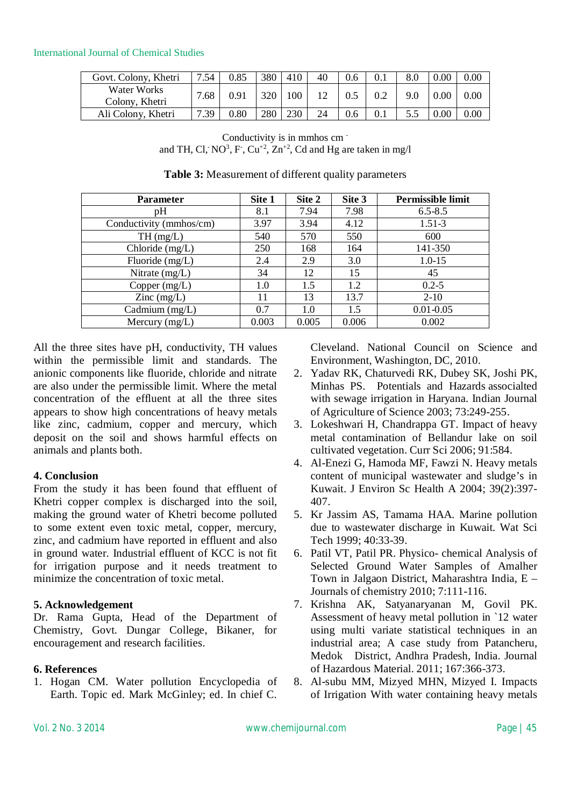International Journal of Chemical Studies

| Govt. Colony, Khetri          | 7.54 | 0.85     | 380        | 410 | 40 | 0.6 | 0.1 | 8.0 | $0.00\,$ | 0.00 |
|-------------------------------|------|----------|------------|-----|----|-----|-----|-----|----------|------|
| Water Works<br>Colony, Khetri | 7.68 | 0.91     | 320        | 100 |    |     |     | 9.0 | $0.00\,$ | 0.00 |
| Ali Colony, Khetri            | 7.39 | $0.80\,$ | <b>280</b> | 230 | 24 | 0.6 |     |     | 0.00     | 0.00 |

Conductivity is in mmhos cm and TH, Cl, NO<sup>3</sup>, F, Cu<sup>+2</sup>, Zn<sup>+2</sup>, Cd and Hg are taken in mg/l

| <b>Parameter</b>                         | Site 1 | Site 2 | Site 3 | Permissible limit |
|------------------------------------------|--------|--------|--------|-------------------|
| pH                                       | 8.1    | 7.94   | 7.98   | $6.5 - 8.5$       |
| Conductivity (mmhos/cm)                  | 3.97   | 3.94   | 4.12   | $1.51-3$          |
| TH(mg/L)                                 | 540    | 570    | 550    | 600               |
| Chloride (mg/L)                          | 250    | 168    | 164    | 141-350           |
| Fluoride (mg/L)                          | 2.4    | 2.9    | 3.0    | $1.0 - 15$        |
| Nitrate $(mg/L)$                         | 34     | 12     | 15     | 45                |
| Copper $(mg/L)$                          | 1.0    | 1.5    | 1.2    | $0.2 - 5$         |
| $\text{Zinc} \left( \text{mg/L} \right)$ | 11     | 13     | 13.7   | $2 - 10$          |
| Cadmium $(mg/L)$                         | 0.7    | 1.0    | 1.5    | $0.01 - 0.05$     |
| Mercury $(mg/L)$                         | 0.003  | 0.005  | 0.006  | 0.002             |

**Table 3:** Measurement of different quality parameters

All the three sites have pH, conductivity, TH values within the permissible limit and standards. The anionic components like fluoride, chloride and nitrate are also under the permissible limit. Where the metal concentration of the effluent at all the three sites appears to show high concentrations of heavy metals like zinc, cadmium, copper and mercury, which deposit on the soil and shows harmful effects on animals and plants both.

## **4. Conclusion**

From the study it has been found that effluent of Khetri copper complex is discharged into the soil, making the ground water of Khetri become polluted to some extent even toxic metal, copper, mercury, zinc, and cadmium have reported in effluent and also in ground water. Industrial effluent of KCC is not fit for irrigation purpose and it needs treatment to minimize the concentration of toxic metal.

## **5. Acknowledgement**

Dr. Rama Gupta, Head of the Department of Chemistry, Govt. Dungar College, Bikaner, for encouragement and research facilities.

## **6. References**

1. Hogan CM. Water pollution Encyclopedia of Earth. Topic ed. Mark McGinley; ed. In chief C.

Cleveland. National Council on Science and Environment, Washington, DC, 2010.

- 2. Yadav RK, Chaturvedi RK, Dubey SK, Joshi PK, Minhas PS. Potentials and Hazards associalted with sewage irrigation in Haryana. Indian Journal of Agriculture of Science 2003; 73:249-255.
- 3. Lokeshwari H, Chandrappa GT. Impact of heavy metal contamination of Bellandur lake on soil cultivated vegetation. Curr Sci 2006; 91:584.
- 4. Al-Enezi G, Hamoda MF, Fawzi N. Heavy metals content of municipal wastewater and sludge's in Kuwait. J Environ Sc Health A 2004; 39(2):397- 407.
- 5. Kr Jassim AS, Tamama HAA. Marine pollution due to wastewater discharge in Kuwait. Wat Sci Tech 1999; 40:33-39.
- 6. Patil VT, Patil PR. Physico- chemical Analysis of Selected Ground Water Samples of Amalher Town in Jalgaon District, Maharashtra India, E – Journals of chemistry 2010; 7:111-116.
- 7. Krishna AK, Satyanaryanan M, Govil PK. Assessment of heavy metal pollution in `12 water using multi variate statistical techniques in an industrial area; A case study from Patancheru, Medok District, Andhra Pradesh, India. Journal of Hazardous Material. 2011; 167:366-373.
- 8. Al-subu MM, Mizyed MHN, Mizyed I. Impacts of Irrigation With water containing heavy metals